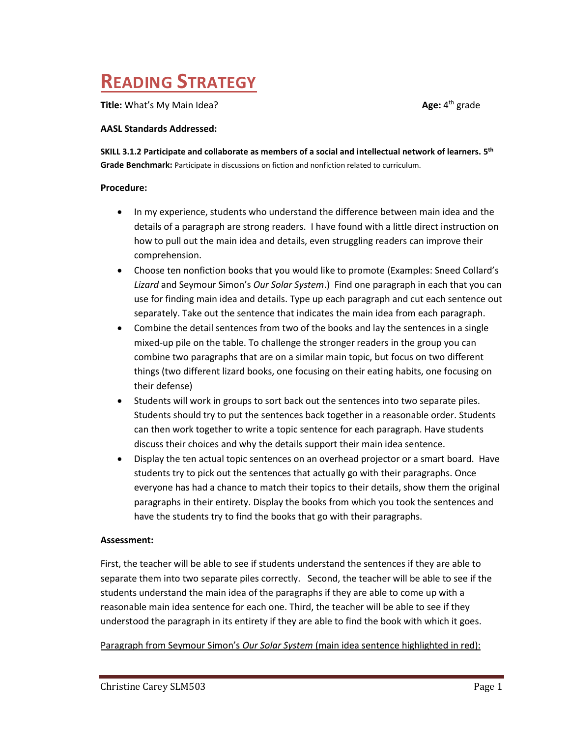## **READING STRATEGY**

**Title:** What's My Main Idea?

Age:  $4<sup>th</sup>$  grade

### **AASL Standards Addressed:**

**SKILL 3.1.2 Participate and collaborate as members of a social and intellectual network of learners. 5 th Grade Benchmark:** Participate in discussions on fiction and nonfiction related to curriculum.

### **Procedure:**

- In my experience, students who understand the difference between main idea and the details of a paragraph are strong readers. I have found with a little direct instruction on how to pull out the main idea and details, even struggling readers can improve their comprehension.
- Choose ten nonfiction books that you would like to promote (Examples: Sneed Collard's *Lizard* and Seymour Simon's *Our Solar System*.) Find one paragraph in each that you can use for finding main idea and details. Type up each paragraph and cut each sentence out separately. Take out the sentence that indicates the main idea from each paragraph.
- Combine the detail sentences from two of the books and lay the sentences in a single mixed-up pile on the table. To challenge the stronger readers in the group you can combine two paragraphs that are on a similar main topic, but focus on two different things (two different lizard books, one focusing on their eating habits, one focusing on their defense)
- Students will work in groups to sort back out the sentences into two separate piles. Students should try to put the sentences back together in a reasonable order. Students can then work together to write a topic sentence for each paragraph. Have students discuss their choices and why the details support their main idea sentence.
- Display the ten actual topic sentences on an overhead projector or a smart board. Have students try to pick out the sentences that actually go with their paragraphs. Once everyone has had a chance to match their topics to their details, show them the original paragraphs in their entirety. Display the books from which you took the sentences and have the students try to find the books that go with their paragraphs.

## **Assessment:**

First, the teacher will be able to see if students understand the sentences if they are able to separate them into two separate piles correctly. Second, the teacher will be able to see if the students understand the main idea of the paragraphs if they are able to come up with a reasonable main idea sentence for each one. Third, the teacher will be able to see if they understood the paragraph in its entirety if they are able to find the book with which it goes.

Paragraph from Seymour Simon's *Our Solar System* (main idea sentence highlighted in red):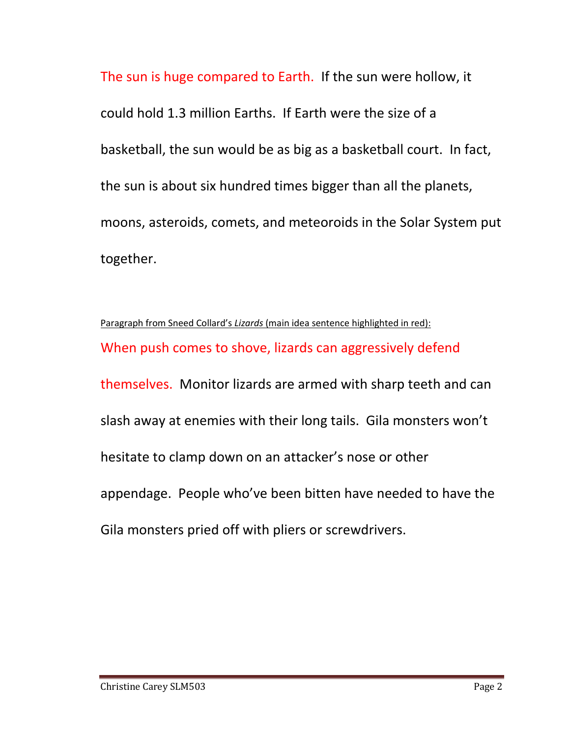The sun is huge compared to Earth. If the sun were hollow, it could hold 1.3 million Earths. If Earth were the size of a basketball, the sun would be as big as a basketball court. In fact, the sun is about six hundred times bigger than all the planets, moons, asteroids, comets, and meteoroids in the Solar System put together.

Paragraph from Sneed Collard's *Lizards* (main idea sentence highlighted in red): When push comes to shove, lizards can aggressively defend themselves. Monitor lizards are armed with sharp teeth and can slash away at enemies with their long tails. Gila monsters won't hesitate to clamp down on an attacker's nose or other appendage. People who've been bitten have needed to have the Gila monsters pried off with pliers or screwdrivers.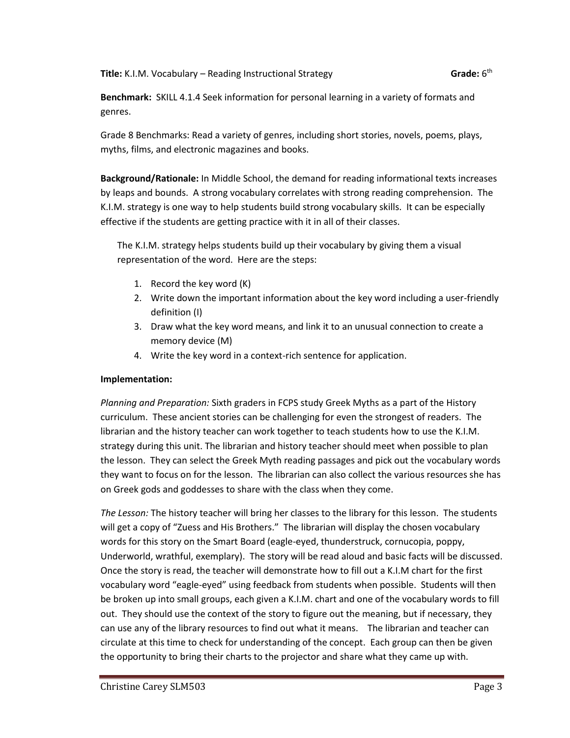**Title:** K.I.M. Vocabulary – Reading Instructional Strategy **Grade:** 6

Grade:  $6<sup>th</sup>$ 

**Benchmark:** SKILL 4.1.4 Seek information for personal learning in a variety of formats and genres.

Grade 8 Benchmarks: Read a variety of genres, including short stories, novels, poems, plays, myths, films, and electronic magazines and books.

**Background/Rationale:** In Middle School, the demand for reading informational texts increases by leaps and bounds. A strong vocabulary correlates with strong reading comprehension. The K.I.M. strategy is one way to help students build strong vocabulary skills. It can be especially effective if the students are getting practice with it in all of their classes.

The K.I.M. strategy helps students build up their vocabulary by giving them a visual representation of the word. Here are the steps:

- 1. Record the key word (K)
- 2. Write down the important information about the key word including a user-friendly definition (I)
- 3. Draw what the key word means, and link it to an unusual connection to create a memory device (M)
- 4. Write the key word in a context-rich sentence for application.

## **Implementation:**

*Planning and Preparation:* Sixth graders in FCPS study Greek Myths as a part of the History curriculum. These ancient stories can be challenging for even the strongest of readers. The librarian and the history teacher can work together to teach students how to use the K.I.M. strategy during this unit. The librarian and history teacher should meet when possible to plan the lesson. They can select the Greek Myth reading passages and pick out the vocabulary words they want to focus on for the lesson. The librarian can also collect the various resources she has on Greek gods and goddesses to share with the class when they come.

*The Lesson:* The history teacher will bring her classes to the library for this lesson. The students will get a copy of "Zuess and His Brothers." The librarian will display the chosen vocabulary words for this story on the Smart Board (eagle-eyed, thunderstruck, cornucopia, poppy, Underworld, wrathful, exemplary). The story will be read aloud and basic facts will be discussed. Once the story is read, the teacher will demonstrate how to fill out a K.I.M chart for the first vocabulary word "eagle-eyed" using feedback from students when possible. Students will then be broken up into small groups, each given a K.I.M. chart and one of the vocabulary words to fill out. They should use the context of the story to figure out the meaning, but if necessary, they can use any of the library resources to find out what it means. The librarian and teacher can circulate at this time to check for understanding of the concept. Each group can then be given the opportunity to bring their charts to the projector and share what they came up with.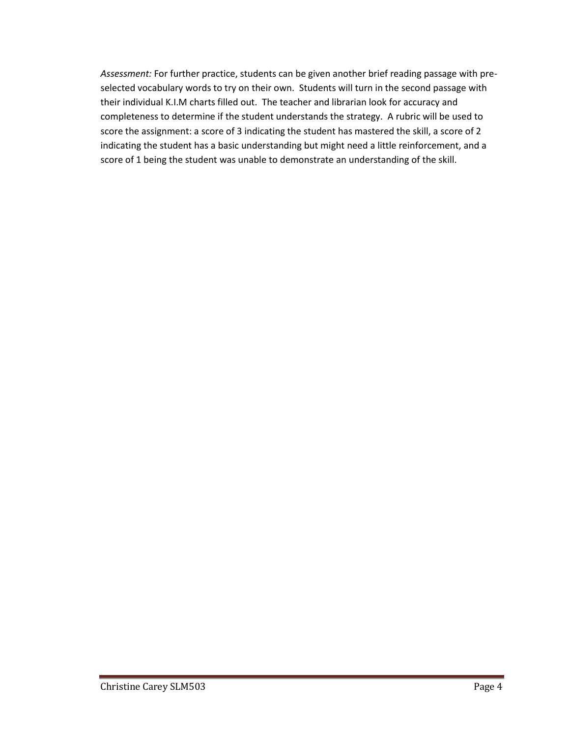*Assessment:* For further practice, students can be given another brief reading passage with preselected vocabulary words to try on their own. Students will turn in the second passage with their individual K.I.M charts filled out. The teacher and librarian look for accuracy and completeness to determine if the student understands the strategy. A rubric will be used to score the assignment: a score of 3 indicating the student has mastered the skill, a score of 2 indicating the student has a basic understanding but might need a little reinforcement, and a score of 1 being the student was unable to demonstrate an understanding of the skill.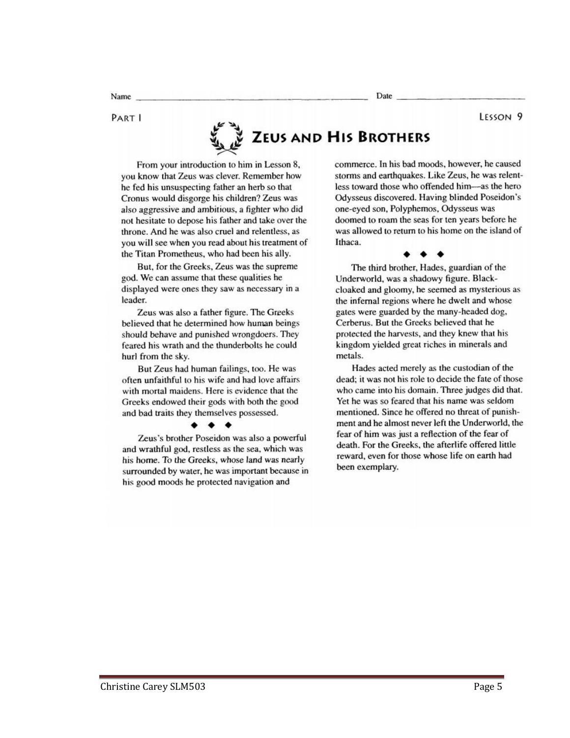Date:

## PART I

Name

# ZEUS AND HIS BROTHERS

From your introduction to him in Lesson 8, you know that Zeus was clever. Remember how he fed his unsuspecting father an herb so that Cronus would disgorge his children? Zeus was also aggressive and ambitious, a fighter who did not hesitate to depose his father and take over the throne. And he was also cruel and relentless, as you will see when you read about his treatment of the Titan Prometheus, who had been his ally.

But, for the Greeks, Zeus was the supreme god. We can assume that these qualities he displayed were ones they saw as necessary in a leader.

Zeus was also a father figure. The Greeks believed that he determined how human beings should behave and punished wrongdoers. They feared his wrath and the thunderbolts he could hurl from the sky.

But Zeus had human failings, too. He was often unfaithful to his wife and had love affairs with mortal maidens. Here is evidence that the Greeks endowed their gods with both the good and bad traits they themselves possessed.

Zeus's brother Poseidon was also a powerful and wrathful god, restless as the sea, which was his home. To the Greeks, whose land was nearly surrounded by water, he was important because in his good moods he protected navigation and

commerce. In his bad moods, however, he caused storms and earthquakes. Like Zeus, he was relentless toward those who offended him-as the hero Odysseus discovered. Having blinded Poseidon's one-eyed son, Polyphemos, Odysseus was doomed to roam the seas for ten years before he was allowed to return to his home on the island of Ithaca.

The third brother, Hades, guardian of the Underworld, was a shadowy figure. Blackcloaked and gloomy, he seemed as mysterious as the infernal regions where he dwelt and whose gates were guarded by the many-headed dog, Cerberus. But the Greeks believed that he protected the harvests, and they knew that his kingdom yielded great riches in minerals and metals.

Hades acted merely as the custodian of the dead; it was not his role to decide the fate of those who came into his domain. Three judges did that. Yet he was so feared that his name was seldom mentioned. Since he offered no threat of punishment and he almost never left the Underworld, the fear of him was just a reflection of the fear of death. For the Greeks, the afterlife offered little reward, even for those whose life on earth had been exemplary.

LESSON<sub>9</sub>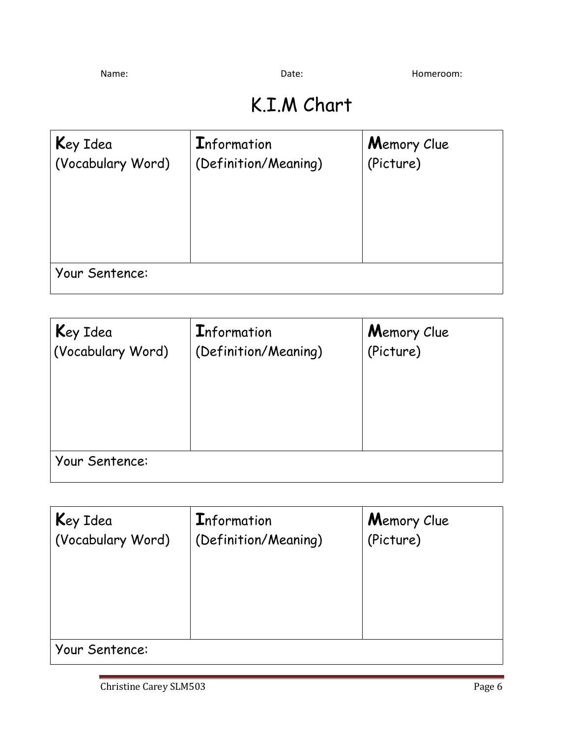Name: Name: Contract of Date: Contract of Date: Contract Momeroom: Homeroom: Name

## K.I.M Chart

| Key Idea          | Information          | Memory Clue |
|-------------------|----------------------|-------------|
| (Vocabulary Word) | (Definition/Meaning) | (Picture)   |
| Your Sentence:    |                      |             |

| Key Idea          | <b>Information</b>   | Memory Clue |
|-------------------|----------------------|-------------|
| (Vocabulary Word) | (Definition/Meaning) | (Picture)   |
| Your Sentence:    |                      |             |

| Key Idea<br>(Vocabulary Word) | <b>Information</b><br>(Definition/Meaning) | Memory Clue<br>(Picture) |
|-------------------------------|--------------------------------------------|--------------------------|
| Your Sentence:                |                                            |                          |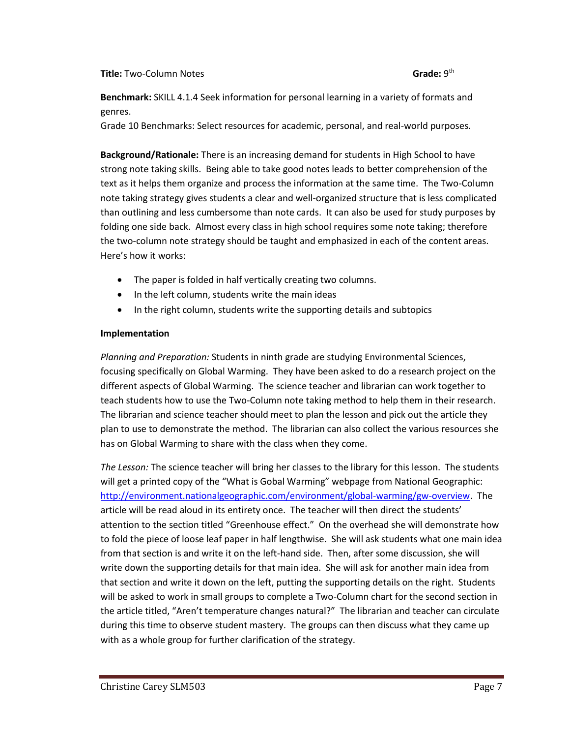### **Title: Two-Column Notes**

**Benchmark:** SKILL 4.1.4 Seek information for personal learning in a variety of formats and genres.

Grade 10 Benchmarks: Select resources for academic, personal, and real-world purposes.

**Background/Rationale:** There is an increasing demand for students in High School to have strong note taking skills. Being able to take good notes leads to better comprehension of the text as it helps them organize and process the information at the same time. The Two-Column note taking strategy gives students a clear and well-organized structure that is less complicated than outlining and less cumbersome than note cards. It can also be used for study purposes by folding one side back. Almost every class in high school requires some note taking; therefore the two-column note strategy should be taught and emphasized in each of the content areas. Here's how it works:

- The paper is folded in half vertically creating two columns.
- In the left column, students write the main ideas
- In the right column, students write the supporting details and subtopics

## **Implementation**

*Planning and Preparation:* Students in ninth grade are studying Environmental Sciences, focusing specifically on Global Warming. They have been asked to do a research project on the different aspects of Global Warming. The science teacher and librarian can work together to teach students how to use the Two-Column note taking method to help them in their research. The librarian and science teacher should meet to plan the lesson and pick out the article they plan to use to demonstrate the method. The librarian can also collect the various resources she has on Global Warming to share with the class when they come.

*The Lesson:* The science teacher will bring her classes to the library for this lesson. The students will get a printed copy of the "What is Gobal Warming" webpage from National Geographic: [http://environment.nationalgeographic.com/environment/global-warming/gw-overview.](http://environment.nationalgeographic.com/environment/global-warming/gw-overview) The article will be read aloud in its entirety once. The teacher will then direct the students' attention to the section titled "Greenhouse effect." On the overhead she will demonstrate how to fold the piece of loose leaf paper in half lengthwise. She will ask students what one main idea from that section is and write it on the left-hand side. Then, after some discussion, she will write down the supporting details for that main idea. She will ask for another main idea from that section and write it down on the left, putting the supporting details on the right. Students will be asked to work in small groups to complete a Two-Column chart for the second section in the article titled, "Aren't temperature changes natural?" The librarian and teacher can circulate during this time to observe student mastery. The groups can then discuss what they came up with as a whole group for further clarification of the strategy.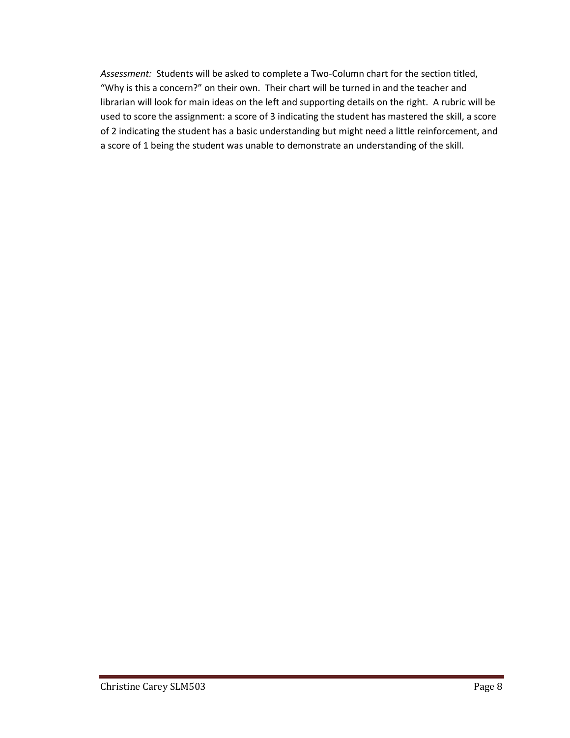*Assessment:* Students will be asked to complete a Two-Column chart for the section titled, "Why is this a concern?" on their own. Their chart will be turned in and the teacher and librarian will look for main ideas on the left and supporting details on the right. A rubric will be used to score the assignment: a score of 3 indicating the student has mastered the skill, a score of 2 indicating the student has a basic understanding but might need a little reinforcement, and a score of 1 being the student was unable to demonstrate an understanding of the skill.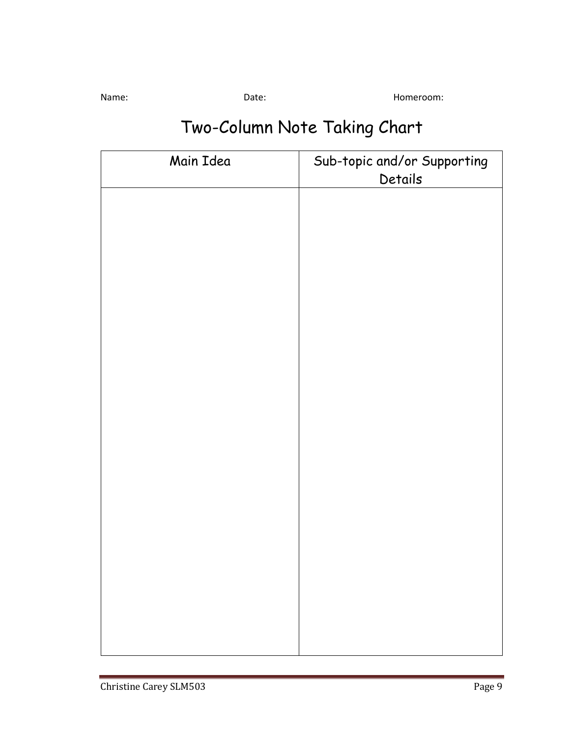Name: Contract Date: Date: Contract Date: Homeroom: Homeroom: All and Date: Contract Date: Contract Date: Name N

## Two-Column Note Taking Chart

| Main Idea | Sub-topic and/or Supporting<br>Details |
|-----------|----------------------------------------|
|           |                                        |
|           |                                        |
|           |                                        |
|           |                                        |
|           |                                        |
|           |                                        |
|           |                                        |
|           |                                        |
|           |                                        |
|           |                                        |
|           |                                        |
|           |                                        |
|           |                                        |